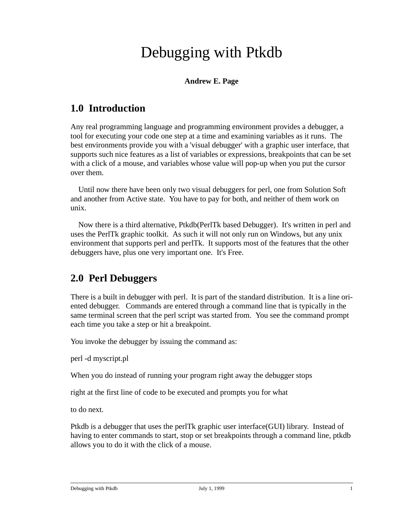# Debugging with Ptkdb

#### **Andrew E. Page**

### **1.0 Introduction**

Any real programming language and programming environment provides a debugger, a tool for executing your code one step at a time and examining variables as it runs. The best environments provide you with a 'visual debugger' with a graphic user interface, that supports such nice features as a list of variables or expressions, breakpoints that can be set with a click of a mouse, and variables whose value will pop-up when you put the cursor over them.

 Until now there have been only two visual debuggers for perl, one from Solution Soft and another from Active state. You have to pay for both, and neither of them work on unix.

 Now there is a third alternative, Ptkdb(PerlTk based Debugger). It's written in perl and uses the PerlTk graphic toolkit. As such it will not only run on Windows, but any unix environment that supports perl and perlTk. It supports most of the features that the other debuggers have, plus one very important one. It's Free.

### **2.0 Perl Debuggers**

There is a built in debugger with perl. It is part of the standard distribution. It is a line oriented debugger. Commands are entered through a command line that is typically in the same terminal screen that the perl script was started from. You see the command prompt each time you take a step or hit a breakpoint.

You invoke the debugger by issuing the command as:

perl -d myscript.pl

When you do instead of running your program right away the debugger stops

right at the first line of code to be executed and prompts you for what

to do next.

Ptkdb is a debugger that uses the perlTk graphic user interface(GUI) library. Instead of having to enter commands to start, stop or set breakpoints through a command line, ptkdb allows you to do it with the click of a mouse.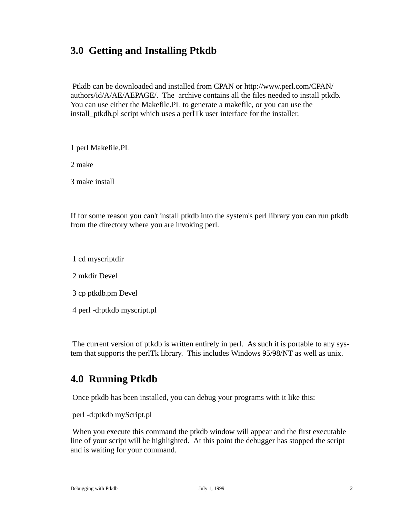# **3.0 Getting and Installing Ptkdb**

 Ptkdb can be downloaded and installed from CPAN or http://www.perl.com/CPAN/ authors/id/A/AE/AEPAGE/. The archive contains all the files needed to install ptkdb. You can use either the Makefile.PL to generate a makefile, or you can use the install\_ptkdb.pl script which uses a perlTk user interface for the installer.

1 perl Makefile.PL

2 make

3 make install

If for some reason you can't install ptkdb into the system's perl library you can run ptkdb from the directory where you are invoking perl.

1 cd myscriptdir

2 mkdir Devel

3 cp ptkdb.pm Devel

4 perl -d:ptkdb myscript.pl

 The current version of ptkdb is written entirely in perl. As such it is portable to any system that supports the perlTk library. This includes Windows 95/98/NT as well as unix.

### **4.0 Running Ptkdb**

Once ptkdb has been installed, you can debug your programs with it like this:

perl -d:ptkdb myScript.pl

When you execute this command the ptkdb window will appear and the first executable line of your script will be highlighted. At this point the debugger has stopped the script and is waiting for your command.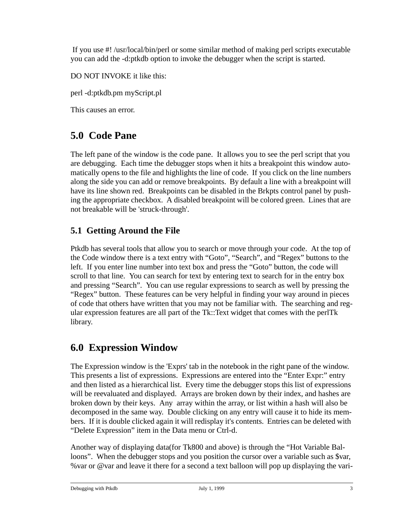If you use #! /usr/local/bin/perl or some similar method of making perl scripts executable you can add the -d:ptkdb option to invoke the debugger when the script is started.

DO NOT INVOKE it like this:

perl -d:ptkdb.pm myScript.pl

This causes an error.

# **5.0 Code Pane**

The left pane of the window is the code pane. It allows you to see the perl script that you are debugging. Each time the debugger stops when it hits a breakpoint this window automatically opens to the file and highlights the line of code. If you click on the line numbers along the side you can add or remove breakpoints. By default a line with a breakpoint will have its line shown red. Breakpoints can be disabled in the Brkpts control panel by pushing the appropriate checkbox. A disabled breakpoint will be colored green. Lines that are not breakable will be 'struck-through'.

#### **5.1 Getting Around the File**

Ptkdb has several tools that allow you to search or move through your code. At the top of the Code window there is a text entry with "Goto", "Search", and "Regex" buttons to the left. If you enter line number into text box and press the "Goto" button, the code will scroll to that line. You can search for text by entering text to search for in the entry box and pressing "Search". You can use regular expressions to search as well by pressing the "Regex" button. These features can be very helpful in finding your way around in pieces of code that others have written that you may not be familiar with. The searching and regular expression features are all part of the Tk::Text widget that comes with the perlTk library.

#### **6.0 Expression Window**

The Expression window is the 'Exprs' tab in the notebook in the right pane of the window. This presents a list of expressions. Expressions are entered into the "Enter Expr:" entry and then listed as a hierarchical list. Every time the debugger stops this list of expressions will be reevaluated and displayed. Arrays are broken down by their index, and hashes are broken down by their keys. Any array within the array, or list within a hash will also be decomposed in the same way. Double clicking on any entry will cause it to hide its members. If it is double clicked again it will redisplay it's contents. Entries can be deleted with "Delete Expression" item in the Data menu or Ctrl-d.

Another way of displaying data(for Tk800 and above) is through the "Hot Variable Balloons". When the debugger stops and you position the cursor over a variable such as \$var, %var or @var and leave it there for a second a text balloon will pop up displaying the vari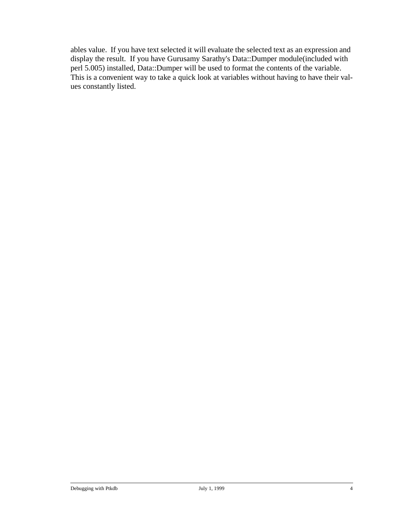ables value. If you have text selected it will evaluate the selected text as an expression and display the result. If you have Gurusamy Sarathy's Data::Dumper module(included with perl 5.005) installed, Data::Dumper will be used to format the contents of the variable. This is a convenient way to take a quick look at variables without having to have their values constantly listed.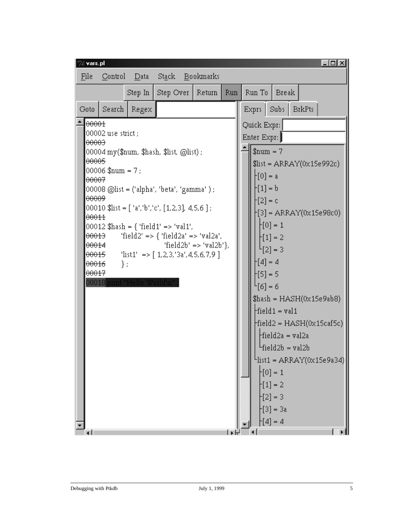| $\Box$ ol xi<br>% vars.pl<br>Bookmarks<br>St <u>a</u> ck<br>File<br>Control<br>Data                                                                                                                           |                                                              |       |                                                                                                                                                                                                                                               |  |  |                                                                                                                                                                                                                                                                                                                                                                                                                                                                                                                                           |  |  |  |
|---------------------------------------------------------------------------------------------------------------------------------------------------------------------------------------------------------------|--------------------------------------------------------------|-------|-----------------------------------------------------------------------------------------------------------------------------------------------------------------------------------------------------------------------------------------------|--|--|-------------------------------------------------------------------------------------------------------------------------------------------------------------------------------------------------------------------------------------------------------------------------------------------------------------------------------------------------------------------------------------------------------------------------------------------------------------------------------------------------------------------------------------------|--|--|--|
| Step Over<br>Step In<br>  Return<br><b>Run</b>                                                                                                                                                                |                                                              |       |                                                                                                                                                                                                                                               |  |  | Run To<br><b>Break</b>                                                                                                                                                                                                                                                                                                                                                                                                                                                                                                                    |  |  |  |
| Goto                                                                                                                                                                                                          | Search                                                       | Regex |                                                                                                                                                                                                                                               |  |  | <b>BrkPts</b><br>Subs<br>Exprs                                                                                                                                                                                                                                                                                                                                                                                                                                                                                                            |  |  |  |
| $\theta$ 0001<br>1 <del>00003</del><br>l <del>00005</del><br>1 <del>00007</del><br>l <del>00009</del><br>00011<br>1 <del>00013</del><br>  <del>00014</del><br>  <del>00015</del><br>00016<br><del>00017</del> | 00002 use strict ;<br>$00006$ \$num = 7;<br>};<br>00018 prin |       | 00004 my(\$num, \$hash, \$list, @list) ;<br> 00010 \$list = [ 'a','b','c', [1,2,3], 4,5,6 ] ;<br> 00012 \$hash = { 'field1' => 'val1',<br>'field2' => { 'field2a' => 'val2a',<br>'field2b' => 'val2b'},<br>'list1' => $[1,2,3,3a',4,5,6,7,9]$ |  |  | Quick Expr:<br>Enter Expr:<br>$$num = 7$<br>$$list = ARRAY(0x15e992c)$<br>$\mathcal{F}[0] = a$<br>$-[1] = b$<br>$\lfloor 2 \rfloor$ = c<br> -[3] = ARRAY(0x15e98c0)<br>$[0] = 1$<br>$-[1] = 2$<br>$^{L}[2] = 3$<br>$-[4] = 4$<br>$-[5] = 5$<br>$^{L}[6] = 6$<br>\$hash = HASH(0x15e9ab8)<br>$\text{field1} = \text{val1}$<br>$ \text{field2} = \text{HASH}(0x15\text{caf5c}) $<br>Ffield2a = val2a<br><sup>L</sup> field2b = val2b<br>$L$ list1 = ARRAY(0x15e9a34)<br>$-[0] = 1$<br>$-[1] = 2$<br>$-[2] = 3$<br>$-[3] = 3a$<br>$-[4] = 4$ |  |  |  |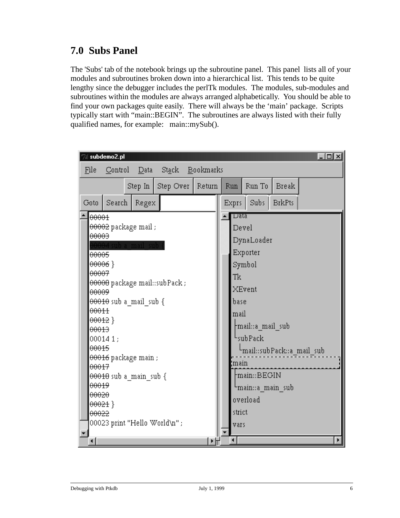# **7.0 Subs Panel**

The 'Subs' tab of the notebook brings up the subroutine panel. This panel lists all of your modules and subroutines broken down into a hierarchical list. This tends to be quite lengthy since the debugger includes the perlTk modules. The modules, sub-modules and subroutines within the modules are always arranged alphabetically. You should be able to find your own packages quite easily. There will always be the 'main' package. Scripts typically start with "main::BEGIN". The subroutines are always listed with their fully qualified names, for example: main::mySub().

| subdemo2.pl                                       | $\Box$                                         |      |  |  |  |  |  |  |  |
|---------------------------------------------------|------------------------------------------------|------|--|--|--|--|--|--|--|
| Data Stack<br>Bookmarks<br>File<br>Control        |                                                |      |  |  |  |  |  |  |  |
| Step Over<br>Step In                              | <b>Break</b><br>Run To<br>Return<br><b>Run</b> |      |  |  |  |  |  |  |  |
| Search<br>Regex<br>Goto                           | Subs<br><b>BrkPts</b><br>Exprs                 |      |  |  |  |  |  |  |  |
| 00001                                             | ∣⊤ata                                          |      |  |  |  |  |  |  |  |
| 00002 package mail ;                              | Devel                                          |      |  |  |  |  |  |  |  |
| <del>00003</del><br><del>004</del> sub a mail sub | DynaLoader                                     |      |  |  |  |  |  |  |  |
| 00005                                             | Exporter                                       |      |  |  |  |  |  |  |  |
| $00006$ }                                         | Symbol                                         |      |  |  |  |  |  |  |  |
| <del>00007</del>                                  | Tk                                             |      |  |  |  |  |  |  |  |
| <del>00000</del> package mail::subPack ;          | XEvent                                         |      |  |  |  |  |  |  |  |
| <del>00009</del><br>00010 sub a_mail_sub {        | base                                           |      |  |  |  |  |  |  |  |
| 00011                                             |                                                | mail |  |  |  |  |  |  |  |
| $00012$ }                                         |                                                |      |  |  |  |  |  |  |  |
| 00013                                             | ├mail∷a mail sub                               |      |  |  |  |  |  |  |  |
| 000141;                                           | <sup>L</sup> sub Pack                          |      |  |  |  |  |  |  |  |
| 00015<br><del>00016</del> package main ;          | <sup>L</sup> mail::subPack::a_mail_sub         |      |  |  |  |  |  |  |  |
| 00017                                             | 'main                                          |      |  |  |  |  |  |  |  |
| <del>00010</del> sub a main sub {                 | main::BEGIN=                                   |      |  |  |  |  |  |  |  |
| <del>00019</del>                                  | <sup>L</sup> main∷a_main_sub                   |      |  |  |  |  |  |  |  |
| 00020                                             | overload                                       |      |  |  |  |  |  |  |  |
| <del>00021</del> }<br><del>00022</del>            | strict                                         |      |  |  |  |  |  |  |  |
| 00023 print "Hello World\n" ;                     |                                                |      |  |  |  |  |  |  |  |
|                                                   | vars                                           |      |  |  |  |  |  |  |  |
| ⊣                                                 | $\left  \cdot \right $<br>⊬⊬                   |      |  |  |  |  |  |  |  |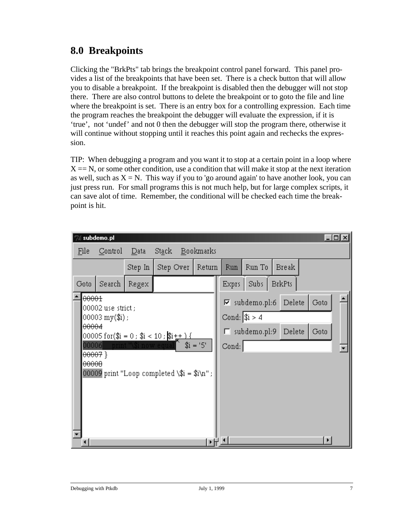# **8.0 Breakpoints**

Clicking the "BrkPts" tab brings the breakpoint control panel forward. This panel provides a list of the breakpoints that have been set. There is a check button that will allow you to disable a breakpoint. If the breakpoint is disabled then the debugger will not stop there. There are also control buttons to delete the breakpoint or to goto the file and line where the breakpoint is set. There is an entry box for a controlling expression. Each time the program reaches the breakpoint the debugger will evaluate the expression, if it is 'true', not 'undef' and not 0 then the debugger will stop the program there, otherwise it will continue without stopping until it reaches this point again and rechecks the expression.

TIP: When debugging a program and you want it to stop at a certain point in a loop where  $X = N$ , or some other condition, use a condition that will make it stop at the next iteration as well, such as  $X = N$ . This way if you to 'go around again' to have another look, you can just press run. For small programs this is not much help, but for large complex scripts, it can save alot of time. Remember, the conditional will be checked each time the breakpoint is hit.

|                                                                                                                                                                                                                                                                   | subdemo.pl |         |           |           |                                                                                                                                                |        |               |  | $  \_ \square  \times$ |
|-------------------------------------------------------------------------------------------------------------------------------------------------------------------------------------------------------------------------------------------------------------------|------------|---------|-----------|-----------|------------------------------------------------------------------------------------------------------------------------------------------------|--------|---------------|--|------------------------|
| File                                                                                                                                                                                                                                                              | Control    | Data    | Stack     | Bookmarks |                                                                                                                                                |        |               |  |                        |
|                                                                                                                                                                                                                                                                   |            | Step In | Step Over | Return    | <b>Run</b>                                                                                                                                     | Run To | <b>Break</b>  |  |                        |
| Goto                                                                                                                                                                                                                                                              | Search     | Regex   |           |           | Exprs                                                                                                                                          | Subs   | <b>BrkPts</b> |  |                        |
| 00001<br>00002 use strict ;<br>$ 00003 \text{ my}(\text{\$i})$ ;<br>00004<br>$ 00005$ for(\$i = 0 ; \$i < 10 ; \$i+ <u>+ ) {</u><br>$$i = '5'$<br>00006<br>print "\\$i now eq<br><del>00007</del> }<br>00000<br>00009 print "Loop completed \\$i = \$i\n";<br>▼₩≛ |            |         |           |           | $\operatorname{Goto}$<br>Delete<br>$\nabla$ subdemo.pl:6<br>Cond: $ $i > 4$<br>Delete<br>$\operatorname{Goto}$<br>$\Box$ subdemo.pl:9<br>Cond: |        |               |  |                        |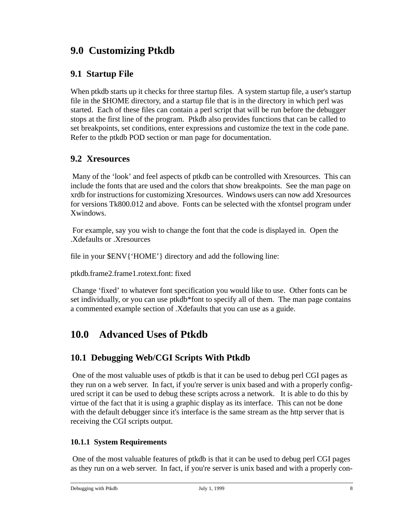# **9.0 Customizing Ptkdb**

#### **9.1 Startup File**

When ptkdb starts up it checks for three startup files. A system startup file, a user's startup file in the \$HOME directory, and a startup file that is in the directory in which perl was started. Each of these files can contain a perl script that will be run before the debugger stops at the first line of the program. Ptkdb also provides functions that can be called to set breakpoints, set conditions, enter expressions and customize the text in the code pane. Refer to the ptkdb POD section or man page for documentation.

#### **9.2 Xresources**

 Many of the 'look' and feel aspects of ptkdb can be controlled with Xresources. This can include the fonts that are used and the colors that show breakpoints. See the man page on xrdb for instructions for customizing Xresources. Windows users can now add Xresources for versions Tk800.012 and above. Fonts can be selected with the xfontsel program under Xwindows.

 For example, say you wish to change the font that the code is displayed in. Open the .Xdefaults or .Xresources

file in your \$ENV{'HOME'} directory and add the following line:

ptkdb.frame2.frame1.rotext.font: fixed

 Change 'fixed' to whatever font specification you would like to use. Other fonts can be set individually, or you can use ptkdb\*font to specify all of them. The man page contains a commented example section of .Xdefaults that you can use as a guide.

### **10.0 Advanced Uses of Ptkdb**

#### **10.1 Debugging Web/CGI Scripts With Ptkdb**

 One of the most valuable uses of ptkdb is that it can be used to debug perl CGI pages as they run on a web server. In fact, if you're server is unix based and with a properly configured script it can be used to debug these scripts across a network. It is able to do this by virtue of the fact that it is using a graphic display as its interface. This can not be done with the default debugger since it's interface is the same stream as the http server that is receiving the CGI scripts output.

#### **10.1.1 System Requirements**

 One of the most valuable features of ptkdb is that it can be used to debug perl CGI pages as they run on a web server. In fact, if you're server is unix based and with a properly con